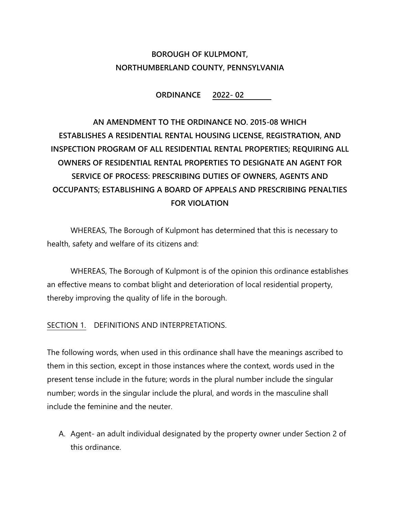## BOROUGH OF KULPMONT, NORTHUMBERLAND COUNTY, PENNSYLVANIA

ORDINANCE 2022- 02

# AN AMENDMENT TO THE ORDINANCE NO. 2015-08 WHICH ESTABLISHES A RESIDENTIAL RENTAL HOUSING LICENSE, REGISTRATION, AND INSPECTION PROGRAM OF ALL RESIDENTIAL RENTAL PROPERTIES; REQUIRING ALL OWNERS OF RESIDENTIAL RENTAL PROPERTIES TO DESIGNATE AN AGENT FOR SERVICE OF PROCESS: PRESCRIBING DUTIES OF OWNERS, AGENTS AND OCCUPANTS; ESTABLISHING A BOARD OF APPEALS AND PRESCRIBING PENALTIES FOR VIOLATION

WHEREAS, The Borough of Kulpmont has determined that this is necessary to health, safety and welfare of its citizens and:

WHEREAS, The Borough of Kulpmont is of the opinion this ordinance establishes an effective means to combat blight and deterioration of local residential property, thereby improving the quality of life in the borough.

SECTION 1. DEFINITIONS AND INTERPRETATIONS.

The following words, when used in this ordinance shall have the meanings ascribed to them in this section, except in those instances where the context, words used in the present tense include in the future; words in the plural number include the singular number; words in the singular include the plural, and words in the masculine shall include the feminine and the neuter.

A. Agent- an adult individual designated by the property owner under Section 2 of this ordinance.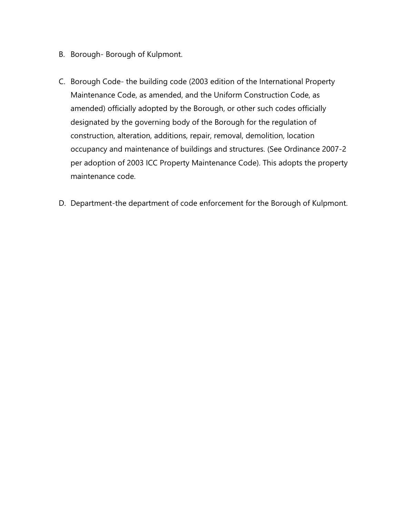- B. Borough- Borough of Kulpmont.
- C. Borough Code- the building code (2003 edition of the International Property Maintenance Code, as amended, and the Uniform Construction Code, as amended) officially adopted by the Borough, or other such codes officially designated by the governing body of the Borough for the regulation of construction, alteration, additions, repair, removal, demolition, location occupancy and maintenance of buildings and structures. (See Ordinance 2007-2 per adoption of 2003 ICC Property Maintenance Code). This adopts the property maintenance code.
- D. Department-the department of code enforcement for the Borough of Kulpmont.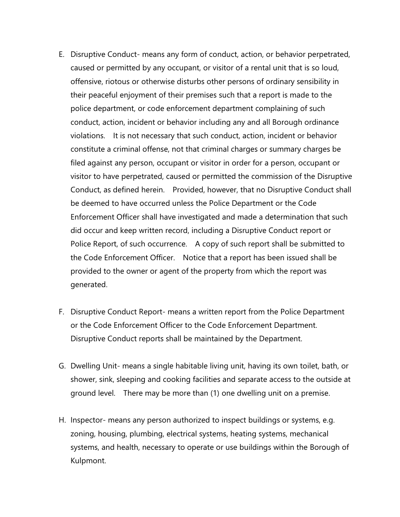- E. Disruptive Conduct- means any form of conduct, action, or behavior perpetrated, caused or permitted by any occupant, or visitor of a rental unit that is so loud, offensive, riotous or otherwise disturbs other persons of ordinary sensibility in their peaceful enjoyment of their premises such that a report is made to the police department, or code enforcement department complaining of such conduct, action, incident or behavior including any and all Borough ordinance violations. It is not necessary that such conduct, action, incident or behavior constitute a criminal offense, not that criminal charges or summary charges be filed against any person, occupant or visitor in order for a person, occupant or visitor to have perpetrated, caused or permitted the commission of the Disruptive Conduct, as defined herein. Provided, however, that no Disruptive Conduct shall be deemed to have occurred unless the Police Department or the Code Enforcement Officer shall have investigated and made a determination that such did occur and keep written record, including a Disruptive Conduct report or Police Report, of such occurrence. A copy of such report shall be submitted to the Code Enforcement Officer. Notice that a report has been issued shall be provided to the owner or agent of the property from which the report was generated.
- F. Disruptive Conduct Report- means a written report from the Police Department or the Code Enforcement Officer to the Code Enforcement Department. Disruptive Conduct reports shall be maintained by the Department.
- G. Dwelling Unit- means a single habitable living unit, having its own toilet, bath, or shower, sink, sleeping and cooking facilities and separate access to the outside at ground level. There may be more than (1) one dwelling unit on a premise.
- H. Inspector- means any person authorized to inspect buildings or systems, e.g. zoning, housing, plumbing, electrical systems, heating systems, mechanical systems, and health, necessary to operate or use buildings within the Borough of Kulpmont.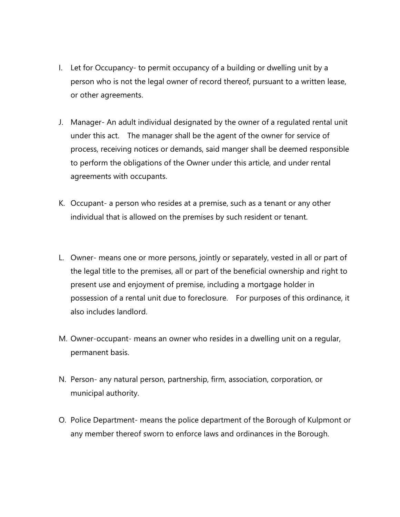- I. Let for Occupancy- to permit occupancy of a building or dwelling unit by a person who is not the legal owner of record thereof, pursuant to a written lease, or other agreements.
- J. Manager- An adult individual designated by the owner of a regulated rental unit under this act. The manager shall be the agent of the owner for service of process, receiving notices or demands, said manger shall be deemed responsible to perform the obligations of the Owner under this article, and under rental agreements with occupants.
- K. Occupant- a person who resides at a premise, such as a tenant or any other individual that is allowed on the premises by such resident or tenant.
- L. Owner- means one or more persons, jointly or separately, vested in all or part of the legal title to the premises, all or part of the beneficial ownership and right to present use and enjoyment of premise, including a mortgage holder in possession of a rental unit due to foreclosure. For purposes of this ordinance, it also includes landlord.
- M. Owner-occupant- means an owner who resides in a dwelling unit on a regular, permanent basis.
- N. Person- any natural person, partnership, firm, association, corporation, or municipal authority.
- O. Police Department- means the police department of the Borough of Kulpmont or any member thereof sworn to enforce laws and ordinances in the Borough.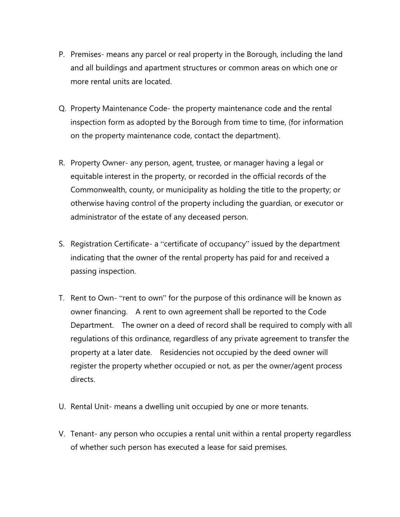- P. Premises- means any parcel or real property in the Borough, including the land and all buildings and apartment structures or common areas on which one or more rental units are located.
- Q. Property Maintenance Code- the property maintenance code and the rental inspection form as adopted by the Borough from time to time, (for information on the property maintenance code, contact the department).
- R. Property Owner- any person, agent, trustee, or manager having a legal or equitable interest in the property, or recorded in the official records of the Commonwealth, county, or municipality as holding the title to the property; or otherwise having control of the property including the guardian, or executor or administrator of the estate of any deceased person.
- S. Registration Certificate- a "certificate of occupancy" issued by the department indicating that the owner of the rental property has paid for and received a passing inspection.
- T. Rent to Own- "rent to own" for the purpose of this ordinance will be known as owner financing. A rent to own agreement shall be reported to the Code Department. The owner on a deed of record shall be required to comply with all regulations of this ordinance, regardless of any private agreement to transfer the property at a later date. Residencies not occupied by the deed owner will register the property whether occupied or not, as per the owner/agent process directs.
- U. Rental Unit- means a dwelling unit occupied by one or more tenants.
- V. Tenant- any person who occupies a rental unit within a rental property regardless of whether such person has executed a lease for said premises.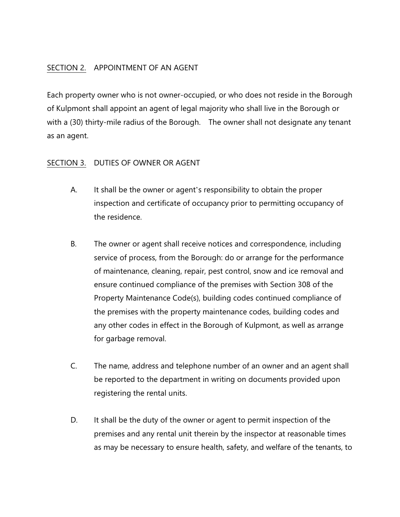## SECTION 2. APPOINTMENT OF AN AGENT

Each property owner who is not owner-occupied, or who does not reside in the Borough of Kulpmont shall appoint an agent of legal majority who shall live in the Borough or with a (30) thirty-mile radius of the Borough. The owner shall not designate any tenant as an agent.

## SECTION 3. DUTIES OF OWNER OR AGENT

- A. It shall be the owner or agent's responsibility to obtain the proper inspection and certificate of occupancy prior to permitting occupancy of the residence.
- B. The owner or agent shall receive notices and correspondence, including service of process, from the Borough: do or arrange for the performance of maintenance, cleaning, repair, pest control, snow and ice removal and ensure continued compliance of the premises with Section 308 of the Property Maintenance Code(s), building codes continued compliance of the premises with the property maintenance codes, building codes and any other codes in effect in the Borough of Kulpmont, as well as arrange for garbage removal.
- C. The name, address and telephone number of an owner and an agent shall be reported to the department in writing on documents provided upon registering the rental units.
- D. It shall be the duty of the owner or agent to permit inspection of the premises and any rental unit therein by the inspector at reasonable times as may be necessary to ensure health, safety, and welfare of the tenants, to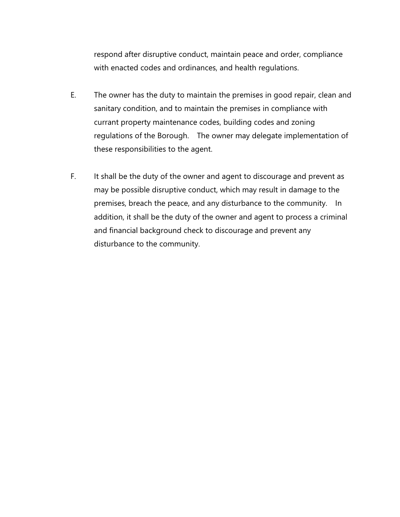respond after disruptive conduct, maintain peace and order, compliance with enacted codes and ordinances, and health regulations.

- E. The owner has the duty to maintain the premises in good repair, clean and sanitary condition, and to maintain the premises in compliance with currant property maintenance codes, building codes and zoning regulations of the Borough. The owner may delegate implementation of these responsibilities to the agent.
- F. It shall be the duty of the owner and agent to discourage and prevent as may be possible disruptive conduct, which may result in damage to the premises, breach the peace, and any disturbance to the community. In addition, it shall be the duty of the owner and agent to process a criminal and financial background check to discourage and prevent any disturbance to the community.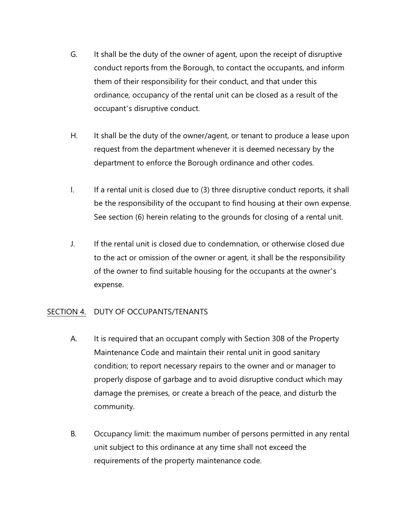- G. It shall be the duty of the owner of agent, upon the receipt of disruptive conduct reports from the Borough, to contact the occupants, and inform them of their responsibility for their conduct, and that under this ordinance, occupancy of the rental unit can be closed as a result of the occupant's disruptive conduct.
- H. It shall be the duty of the owner/agent, or tenant to produce a lease upon request from the department whenever it is deemed necessary by the department to enforce the Borough ordinance and other codes.
- I. If a rental unit is closed due to (3) three disruptive conduct reports, it shall be the responsibility of the occupant to find housing at their own expense. See section (6) herein relating to the grounds for closing of a rental unit.
- J. If the rental unit is closed due to condemnation, or otherwise closed due to the act or omission of the owner or agent, it shall be the responsibility of the owner to find suitable housing for the occupants at the owner's expense.

## SECTION 4. DUTY OF OCCUPANTS/TENANTS

- A. It is required that an occupant comply with Section 308 of the Property Maintenance Code and maintain their rental unit in good sanitary condition; to report necessary repairs to the owner and or manager to properly dispose of garbage and to avoid disruptive conduct which may damage the premises, or create a breach of the peace, and disturb the community.
- B. Occupancy limit: the maximum number of persons permitted in any rental unit subject to this ordinance at any time shall not exceed the requirements of the property maintenance code.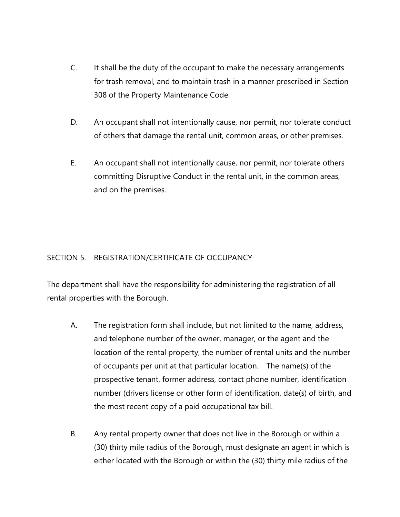- C. It shall be the duty of the occupant to make the necessary arrangements for trash removal, and to maintain trash in a manner prescribed in Section 308 of the Property Maintenance Code.
- D. An occupant shall not intentionally cause, nor permit, nor tolerate conduct of others that damage the rental unit, common areas, or other premises.
- E. An occupant shall not intentionally cause, nor permit, nor tolerate others committing Disruptive Conduct in the rental unit, in the common areas, and on the premises.

## SECTION 5. REGISTRATION/CERTIFICATE OF OCCUPANCY

The department shall have the responsibility for administering the registration of all rental properties with the Borough.

- A. The registration form shall include, but not limited to the name, address, and telephone number of the owner, manager, or the agent and the location of the rental property, the number of rental units and the number of occupants per unit at that particular location. The name(s) of the prospective tenant, former address, contact phone number, identification number (drivers license or other form of identification, date(s) of birth, and the most recent copy of a paid occupational tax bill.
- B. Any rental property owner that does not live in the Borough or within a (30) thirty mile radius of the Borough, must designate an agent in which is either located with the Borough or within the (30) thirty mile radius of the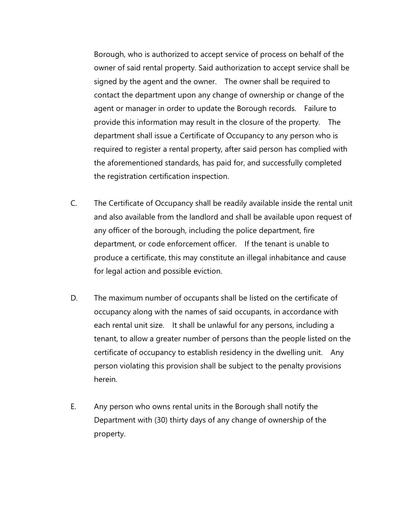Borough, who is authorized to accept service of process on behalf of the owner of said rental property. Said authorization to accept service shall be signed by the agent and the owner. The owner shall be required to contact the department upon any change of ownership or change of the agent or manager in order to update the Borough records. Failure to provide this information may result in the closure of the property. The department shall issue a Certificate of Occupancy to any person who is required to register a rental property, after said person has complied with the aforementioned standards, has paid for, and successfully completed the registration certification inspection.

- C. The Certificate of Occupancy shall be readily available inside the rental unit and also available from the landlord and shall be available upon request of any officer of the borough, including the police department, fire department, or code enforcement officer. If the tenant is unable to produce a certificate, this may constitute an illegal inhabitance and cause for legal action and possible eviction.
- D. The maximum number of occupants shall be listed on the certificate of occupancy along with the names of said occupants, in accordance with each rental unit size. It shall be unlawful for any persons, including a tenant, to allow a greater number of persons than the people listed on the certificate of occupancy to establish residency in the dwelling unit. Any person violating this provision shall be subject to the penalty provisions herein.
- E. Any person who owns rental units in the Borough shall notify the Department with (30) thirty days of any change of ownership of the property.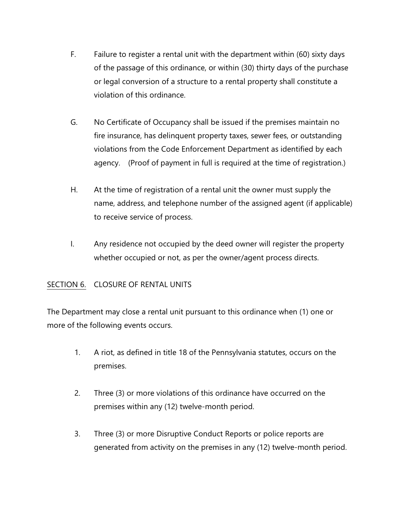- F. Failure to register a rental unit with the department within (60) sixty days of the passage of this ordinance, or within (30) thirty days of the purchase or legal conversion of a structure to a rental property shall constitute a violation of this ordinance.
- G. No Certificate of Occupancy shall be issued if the premises maintain no fire insurance, has delinquent property taxes, sewer fees, or outstanding violations from the Code Enforcement Department as identified by each agency. (Proof of payment in full is required at the time of registration.)
- H. At the time of registration of a rental unit the owner must supply the name, address, and telephone number of the assigned agent (if applicable) to receive service of process.
- I. Any residence not occupied by the deed owner will register the property whether occupied or not, as per the owner/agent process directs.

## SECTION 6. CLOSURE OF RENTAL UNITS

The Department may close a rental unit pursuant to this ordinance when (1) one or more of the following events occurs.

- 1. A riot, as defined in title 18 of the Pennsylvania statutes, occurs on the premises.
- 2. Three (3) or more violations of this ordinance have occurred on the premises within any (12) twelve-month period.
- 3. Three (3) or more Disruptive Conduct Reports or police reports are generated from activity on the premises in any (12) twelve-month period.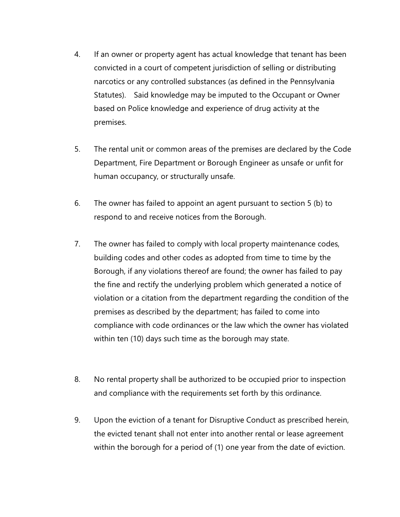- 4. If an owner or property agent has actual knowledge that tenant has been convicted in a court of competent jurisdiction of selling or distributing narcotics or any controlled substances (as defined in the Pennsylvania Statutes). Said knowledge may be imputed to the Occupant or Owner based on Police knowledge and experience of drug activity at the premises.
- 5. The rental unit or common areas of the premises are declared by the Code Department, Fire Department or Borough Engineer as unsafe or unfit for human occupancy, or structurally unsafe.
- 6. The owner has failed to appoint an agent pursuant to section 5 (b) to respond to and receive notices from the Borough.
- 7. The owner has failed to comply with local property maintenance codes, building codes and other codes as adopted from time to time by the Borough, if any violations thereof are found; the owner has failed to pay the fine and rectify the underlying problem which generated a notice of violation or a citation from the department regarding the condition of the premises as described by the department; has failed to come into compliance with code ordinances or the law which the owner has violated within ten (10) days such time as the borough may state.
- 8. No rental property shall be authorized to be occupied prior to inspection and compliance with the requirements set forth by this ordinance.
- 9. Upon the eviction of a tenant for Disruptive Conduct as prescribed herein, the evicted tenant shall not enter into another rental or lease agreement within the borough for a period of (1) one year from the date of eviction.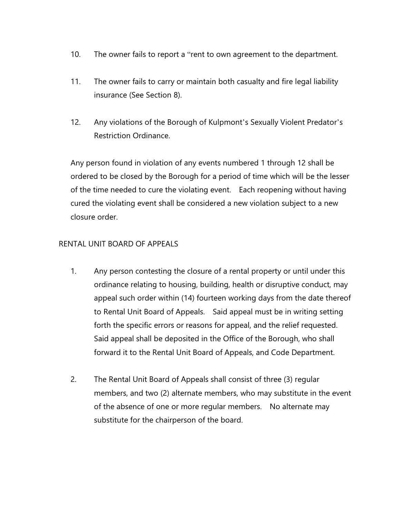- 10. The owner fails to report a "rent to own agreement to the department.
- 11. The owner fails to carry or maintain both casualty and fire legal liability insurance (See Section 8).
- 12. Any violations of the Borough of Kulpmont's Sexually Violent Predator's Restriction Ordinance.

Any person found in violation of any events numbered 1 through 12 shall be ordered to be closed by the Borough for a period of time which will be the lesser of the time needed to cure the violating event. Each reopening without having cured the violating event shall be considered a new violation subject to a new closure order.

#### RENTAL UNIT BOARD OF APPEALS

- 1. Any person contesting the closure of a rental property or until under this ordinance relating to housing, building, health or disruptive conduct, may appeal such order within (14) fourteen working days from the date thereof to Rental Unit Board of Appeals. Said appeal must be in writing setting forth the specific errors or reasons for appeal, and the relief requested. Said appeal shall be deposited in the Office of the Borough, who shall forward it to the Rental Unit Board of Appeals, and Code Department.
- 2. The Rental Unit Board of Appeals shall consist of three (3) regular members, and two (2) alternate members, who may substitute in the event of the absence of one or more regular members. No alternate may substitute for the chairperson of the board.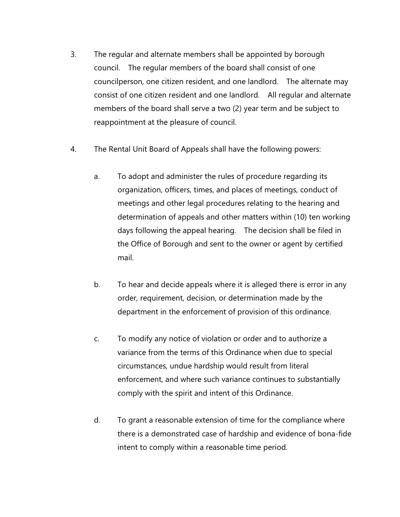- 3. The regular and alternate members shall be appointed by borough council. The regular members of the board shall consist of one councilperson, one citizen resident, and one landlord. The alternate may consist of one citizen resident and one landlord. All regular and alternate members of the board shall serve a two (2) year term and be subject to reappointment at the pleasure of council.
- 4. The Rental Unit Board of Appeals shall have the following powers:
	- a. To adopt and administer the rules of procedure regarding its organization, officers, times, and places of meetings, conduct of meetings and other legal procedures relating to the hearing and determination of appeals and other matters within (10) ten working days following the appeal hearing. The decision shall be filed in the Office of Borough and sent to the owner or agent by certified mail.
	- b. To hear and decide appeals where it is alleged there is error in any order, requirement, decision, or determination made by the department in the enforcement of provision of this ordinance.
	- c. To modify any notice of violation or order and to authorize a variance from the terms of this Ordinance when due to special circumstances, undue hardship would result from literal enforcement, and where such variance continues to substantially comply with the spirit and intent of this Ordinance.
	- d. To grant a reasonable extension of time for the compliance where there is a demonstrated case of hardship and evidence of bona-fide intent to comply within a reasonable time period.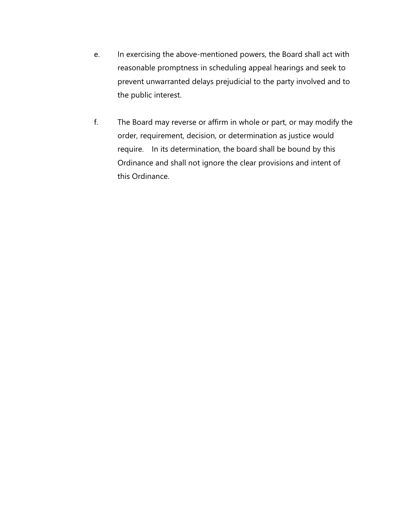- e. In exercising the above-mentioned powers, the Board shall act with reasonable promptness in scheduling appeal hearings and seek to prevent unwarranted delays prejudicial to the party involved and to the public interest.
- f. The Board may reverse or affirm in whole or part, or may modify the order, requirement, decision, or determination as justice would require. In its determination, the board shall be bound by this Ordinance and shall not ignore the clear provisions and intent of this Ordinance.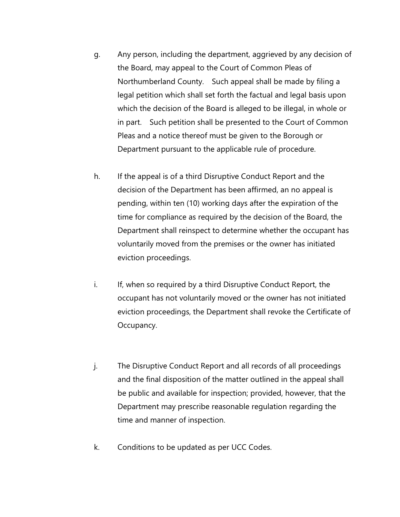- g. Any person, including the department, aggrieved by any decision of the Board, may appeal to the Court of Common Pleas of Northumberland County. Such appeal shall be made by filing a legal petition which shall set forth the factual and legal basis upon which the decision of the Board is alleged to be illegal, in whole or in part. Such petition shall be presented to the Court of Common Pleas and a notice thereof must be given to the Borough or Department pursuant to the applicable rule of procedure.
- h. If the appeal is of a third Disruptive Conduct Report and the decision of the Department has been affirmed, an no appeal is pending, within ten (10) working days after the expiration of the time for compliance as required by the decision of the Board, the Department shall reinspect to determine whether the occupant has voluntarily moved from the premises or the owner has initiated eviction proceedings.
- i. If, when so required by a third Disruptive Conduct Report, the occupant has not voluntarily moved or the owner has not initiated eviction proceedings, the Department shall revoke the Certificate of Occupancy.
- j. The Disruptive Conduct Report and all records of all proceedings and the final disposition of the matter outlined in the appeal shall be public and available for inspection; provided, however, that the Department may prescribe reasonable regulation regarding the time and manner of inspection.
- k. Conditions to be updated as per UCC Codes.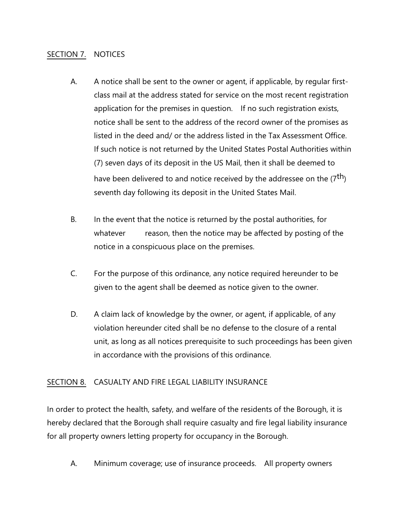#### SECTION 7. NOTICES

- A. A notice shall be sent to the owner or agent, if applicable, by regular firstclass mail at the address stated for service on the most recent registration application for the premises in question. If no such registration exists, notice shall be sent to the address of the record owner of the promises as listed in the deed and/ or the address listed in the Tax Assessment Office. If such notice is not returned by the United States Postal Authorities within (7) seven days of its deposit in the US Mail, then it shall be deemed to have been delivered to and notice received by the addressee on the  $(7<sup>th</sup>)$ seventh day following its deposit in the United States Mail.
- B. In the event that the notice is returned by the postal authorities, for whatever reason, then the notice may be affected by posting of the notice in a conspicuous place on the premises.
- C. For the purpose of this ordinance, any notice required hereunder to be given to the agent shall be deemed as notice given to the owner.
- D. A claim lack of knowledge by the owner, or agent, if applicable, of any violation hereunder cited shall be no defense to the closure of a rental unit, as long as all notices prerequisite to such proceedings has been given in accordance with the provisions of this ordinance.

#### SECTION 8. CASUALTY AND FIRE LEGAL LIABILITY INSURANCE

In order to protect the health, safety, and welfare of the residents of the Borough, it is hereby declared that the Borough shall require casualty and fire legal liability insurance for all property owners letting property for occupancy in the Borough.

A. Minimum coverage; use of insurance proceeds. All property owners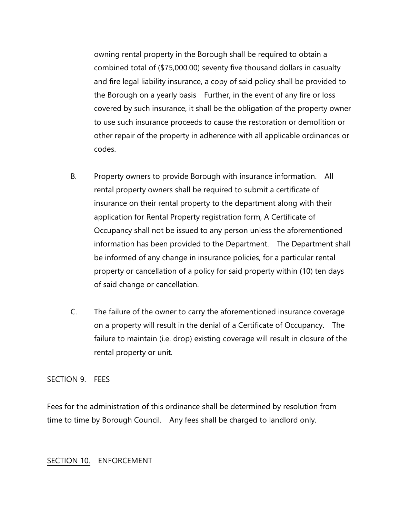owning rental property in the Borough shall be required to obtain a combined total of (\$75,000.00) seventy five thousand dollars in casualty and fire legal liability insurance, a copy of said policy shall be provided to the Borough on a yearly basis Further, in the event of any fire or loss covered by such insurance, it shall be the obligation of the property owner to use such insurance proceeds to cause the restoration or demolition or other repair of the property in adherence with all applicable ordinances or codes.

- B. Property owners to provide Borough with insurance information. All rental property owners shall be required to submit a certificate of insurance on their rental property to the department along with their application for Rental Property registration form, A Certificate of Occupancy shall not be issued to any person unless the aforementioned information has been provided to the Department. The Department shall be informed of any change in insurance policies, for a particular rental property or cancellation of a policy for said property within (10) ten days of said change or cancellation.
- C. The failure of the owner to carry the aforementioned insurance coverage on a property will result in the denial of a Certificate of Occupancy. The failure to maintain (i.e. drop) existing coverage will result in closure of the rental property or unit.

#### SECTION 9. FEES

Fees for the administration of this ordinance shall be determined by resolution from time to time by Borough Council. Any fees shall be charged to landlord only.

#### SECTION 10. ENFORCEMENT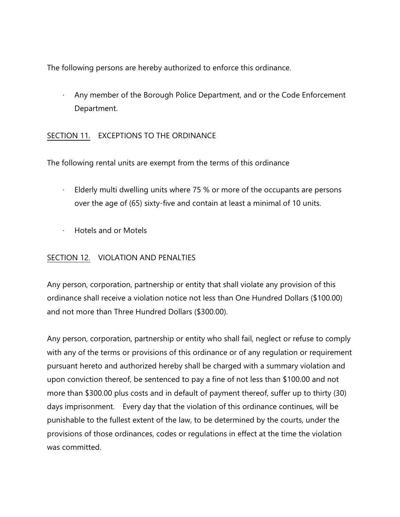The following persons are hereby authorized to enforce this ordinance.

· Any member of the Borough Police Department, and or the Code Enforcement Department.

## SECTION 11. EXCEPTIONS TO THE ORDINANCE

The following rental units are exempt from the terms of this ordinance

- · Elderly multi dwelling units where 75 % or more of the occupants are persons over the age of (65) sixty-five and contain at least a minimal of 10 units.
- · Hotels and or Motels

## SECTION 12. VIOLATION AND PENALTIES

Any person, corporation, partnership or entity that shall violate any provision of this ordinance shall receive a violation notice not less than One Hundred Dollars (\$100.00) and not more than Three Hundred Dollars (\$300.00).

Any person, corporation, partnership or entity who shall fail, neglect or refuse to comply with any of the terms or provisions of this ordinance or of any regulation or requirement pursuant hereto and authorized hereby shall be charged with a summary violation and upon conviction thereof, be sentenced to pay a fine of not less than \$100.00 and not more than \$300.00 plus costs and in default of payment thereof, suffer up to thirty (30) days imprisonment. Every day that the violation of this ordinance continues, will be punishable to the fullest extent of the law, to be determined by the courts, under the provisions of those ordinances, codes or regulations in effect at the time the violation was committed.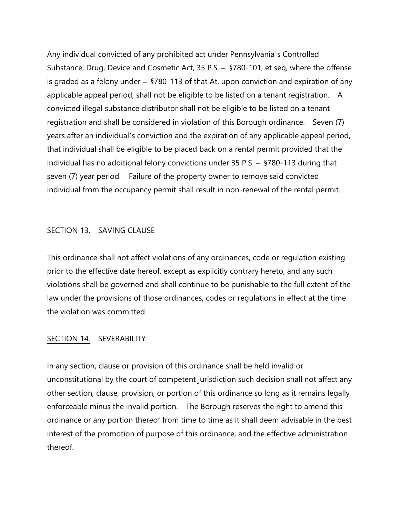Any individual convicted of any prohibited act under Pennsylvania's Controlled Substance, Drug, Device and Cosmetic Act, 35 P.S. – §780-101, et seq, where the offense is graded as a felony under – §780-113 of that At, upon conviction and expiration of any applicable appeal period, shall not be eligible to be listed on a tenant registration. A convicted illegal substance distributor shall not be eligible to be listed on a tenant registration and shall be considered in violation of this Borough ordinance. Seven (7) years after an individual's conviction and the expiration of any applicable appeal period, that individual shall be eligible to be placed back on a rental permit provided that the individual has no additional felony convictions under 35 P.S. – §780-113 during that seven (7) year period. Failure of the property owner to remove said convicted individual from the occupancy permit shall result in non-renewal of the rental permit.

#### SECTION 13. SAVING CLAUSE

This ordinance shall not affect violations of any ordinances, code or regulation existing prior to the effective date hereof, except as explicitly contrary hereto, and any such violations shall be governed and shall continue to be punishable to the full extent of the law under the provisions of those ordinances, codes or regulations in effect at the time the violation was committed.

#### SECTION 14. SEVERABILITY

In any section, clause or provision of this ordinance shall be held invalid or unconstitutional by the court of competent jurisdiction such decision shall not affect any other section, clause, provision, or portion of this ordinance so long as it remains legally enforceable minus the invalid portion. The Borough reserves the right to amend this ordinance or any portion thereof from time to time as it shall deem advisable in the best interest of the promotion of purpose of this ordinance, and the effective administration thereof.